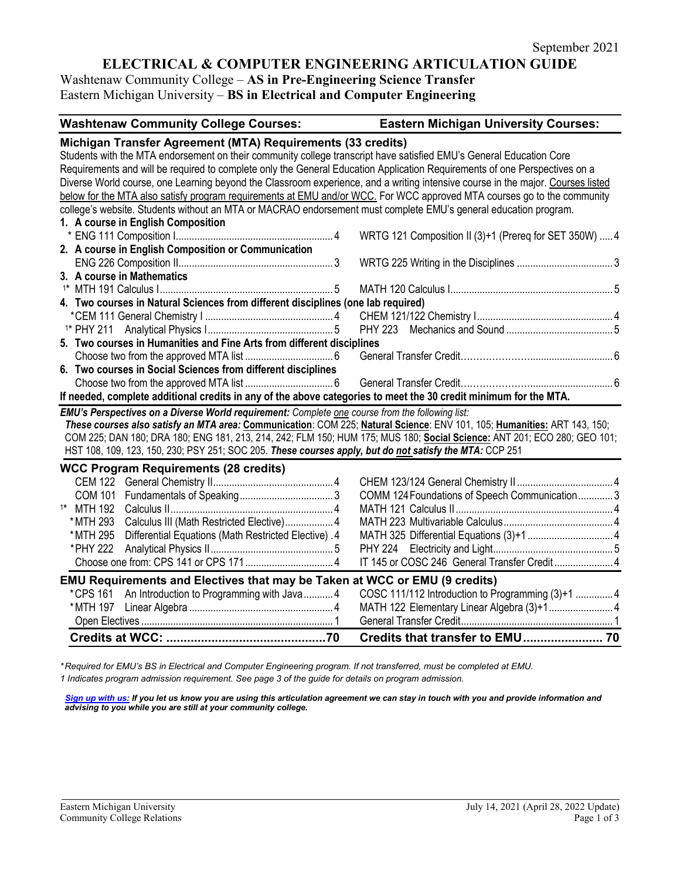# **ELECTRICAL & COMPUTER ENGINEERING ARTICULATION GUIDE**

Washtenaw Community College – **AS in Pre-Engineering Science Transfer** Eastern Michigan University – **BS in Electrical and Computer Engineering**

| <b>Washtenaw Community College Courses:</b>                                                                                     | <b>Eastern Michigan University Courses:</b>            |  |
|---------------------------------------------------------------------------------------------------------------------------------|--------------------------------------------------------|--|
| Michigan Transfer Agreement (MTA) Requirements (33 credits)                                                                     |                                                        |  |
| Students with the MTA endorsement on their community college transcript have satisfied EMU's General Education Core             |                                                        |  |
| Requirements and will be required to complete only the General Education Application Requirements of one Perspectives on a      |                                                        |  |
| Diverse World course, one Learning beyond the Classroom experience, and a writing intensive course in the major. Courses listed |                                                        |  |
| below for the MTA also satisfy program requirements at EMU and/or WCC. For WCC approved MTA courses go to the community         |                                                        |  |
| college's website. Students without an MTA or MACRAO endorsement must complete EMU's general education program.                 |                                                        |  |
| 1. A course in English Composition                                                                                              |                                                        |  |
|                                                                                                                                 | WRTG 121 Composition II (3)+1 (Prereq for SET 350W)  4 |  |
| 2. A course in English Composition or Communication                                                                             |                                                        |  |
| 3. A course in Mathematics                                                                                                      |                                                        |  |
|                                                                                                                                 |                                                        |  |
|                                                                                                                                 |                                                        |  |
| 4. Two courses in Natural Sciences from different disciplines (one lab required)                                                |                                                        |  |
|                                                                                                                                 |                                                        |  |
| 5. Two courses in Humanities and Fine Arts from different disciplines                                                           |                                                        |  |
|                                                                                                                                 |                                                        |  |
| 6. Two courses in Social Sciences from different disciplines                                                                    |                                                        |  |
|                                                                                                                                 |                                                        |  |
| If needed, complete additional credits in any of the above categories to meet the 30 credit minimum for the MTA.                |                                                        |  |
| EMU's Perspectives on a Diverse World requirement: Complete one course from the following list:                                 |                                                        |  |
| These courses also satisfy an MTA area: Communication: COM 225; Natural Science: ENV 101, 105; Humanities: ART 143, 150;        |                                                        |  |
| COM 225; DAN 180; DRA 180; ENG 181, 213, 214, 242; FLM 150; HUM 175; MUS 180; Social Science: ANT 201; ECO 280; GEO 101;        |                                                        |  |
| HST 108, 109, 123, 150, 230; PSY 251; SOC 205. These courses apply, but do not satisfy the MTA: CCP 251                         |                                                        |  |
|                                                                                                                                 |                                                        |  |
| <b>WCC Program Requirements (28 credits)</b>                                                                                    |                                                        |  |
|                                                                                                                                 |                                                        |  |
| <sup>1*</sup> MTH 192                                                                                                           | COMM 124 Foundations of Speech Communication3          |  |
| Calculus III (Math Restricted Elective) 4<br>* MTH 293                                                                          |                                                        |  |
| * MTH 295<br>Differential Equations (Math Restricted Elective) .4                                                               |                                                        |  |
| *PHY 222                                                                                                                        |                                                        |  |
|                                                                                                                                 | IT 145 or COSC 246 General Transfer Credit  4          |  |
|                                                                                                                                 |                                                        |  |
| <b>EMU Requirements and Electives that may be Taken at WCC or EMU (9 credits)</b>                                               |                                                        |  |
| *CPS 161 An Introduction to Programming with Java4                                                                              | COSC 111/112 Introduction to Programming (3)+1  4      |  |
|                                                                                                                                 | MATH 122 Elementary Linear Algebra (3)+1 4             |  |
|                                                                                                                                 |                                                        |  |
|                                                                                                                                 |                                                        |  |

*\* Required for EMU's BS in Electrical and Computer Engineering program. If not transferred, must be completed at EMU. 1 Indicates program admission requirement. See page 3 of the guide for details on program admission.*

*[Sign up with us:](https://www.emich.edu/ccr/articulation-agreements/signup.php) If you let us know you are using this articulation agreement we can stay in touch with you and provide information and advising to you while you are still at your community college.*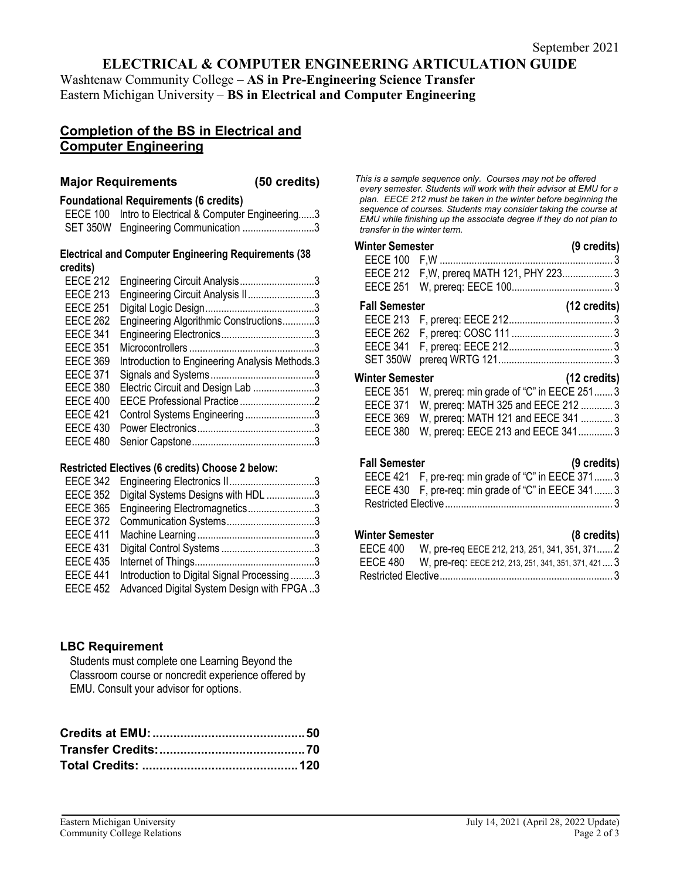## **ELECTRICAL & COMPUTER ENGINEERING ARTICULATION GUIDE**

Washtenaw Community College – **AS in Pre-Engineering Science Transfer** Eastern Michigan University – **BS in Electrical and Computer Engineering**

## **Completion of the BS in Electrical and Computer Engineering**

#### **Major Requirements (50 credits)**

#### **Foundational Requirements (6 credits)**

| EECE 100 Intro to Electrical & Computer Engineering3 |
|------------------------------------------------------|
| SET 350W Engineering Communication 3                 |

#### **Electrical and Computer Engineering Requirements (38 credits)**

| <b>EECE 212</b> | Engineering Circuit Analysis3                  |  |
|-----------------|------------------------------------------------|--|
|                 |                                                |  |
| <b>EECE 213</b> | Engineering Circuit Analysis II3               |  |
| <b>EECE 251</b> |                                                |  |
| <b>EECE 262</b> | Engineering Algorithmic Constructions3         |  |
| <b>EECE 341</b> |                                                |  |
| <b>EECE 351</b> |                                                |  |
| <b>EECE 369</b> | Introduction to Engineering Analysis Methods.3 |  |
| <b>EECE 371</b> |                                                |  |
| <b>EECE 380</b> | Electric Circuit and Design Lab 3              |  |
| <b>EECE 400</b> |                                                |  |
| <b>EECE 421</b> | Control Systems Engineering3                   |  |
| <b>EECE 430</b> |                                                |  |
| <b>EECE 480</b> |                                                |  |
|                 |                                                |  |

#### **Restricted Electives (6 credits) Choose 2 below:**

|                 | EECE 342 Engineering Electronics II3       |  |
|-----------------|--------------------------------------------|--|
| <b>EECE 352</b> | Digital Systems Designs with HDL 3         |  |
| <b>EECE 365</b> | Engineering Electromagnetics3              |  |
| <b>EECE 372</b> |                                            |  |
| <b>EECE 411</b> |                                            |  |
| <b>EECE 431</b> |                                            |  |
| <b>EECE 435</b> |                                            |  |
| <b>EECE 441</b> | Introduction to Digital Signal Processing3 |  |
| <b>EECE 452</b> | Advanced Digital System Design with FPGA3  |  |

## **LBC Requirement**

Students must complete one Learning Beyond the Classroom course or noncredit experience offered by EMU. Consult your advisor for options.

*This is a sample sequence only. Courses may not be offered every semester. Students will work with their advisor at EMU for a plan. EECE 212 must be taken in the winter before beginning the sequence of courses. Students may consider taking the course at EMU while finishing up the associate degree if they do not plan to transfer in the winter term.* 

#### **Winter Semester (9 credits)** EECE 100 F,W ................................................................. 3 EECE 212 F,W, prereq MATH 121, PHY 223................... 3 EECE 251 W, prereq: EECE 100...................................... 3 **Fall Semester (12 credits)** EECE 213 F, prereq: EECE 212....................................... 3 EECE 262 F, prereq: COSC 111 ...................................... 3 EECE 341 F, prereq: EECE 212....................................... 3 SET 350W prereq WRTG 121........................................... 3

## **Winter Semester (12 credits)** EECE 351 W, prereq: min grade of "C" in EECE 251....... 3 EECE 371 W, prereq: MATH 325 and EECE 212 ............ 3 EECE 369 W, prereq: MATH 121 and EECE 341 ............ 3 EECE 380 W, prereq: EECE 213 and EECE 341............. 3

## **Fall Semester (9 credits)**

| -------------- |                                                     |  |
|----------------|-----------------------------------------------------|--|
|                | EECE 421 F, pre-req: min grade of "C" in EECE 3713  |  |
|                | EECE 430 F, pre-req: min grade of "C" in EECE 341 3 |  |
|                |                                                     |  |

## **Winter Semester (8 credits)**

| וטופטו שטוווטטנטו | $10$ organical                                                |  |
|-------------------|---------------------------------------------------------------|--|
|                   | EECE 400 W, pre-req EECE 212, 213, 251, 341, 351, 371 2       |  |
|                   | EECE 480 W, pre-req: EECE 212, 213, 251, 341, 351, 371, 421 3 |  |
|                   |                                                               |  |